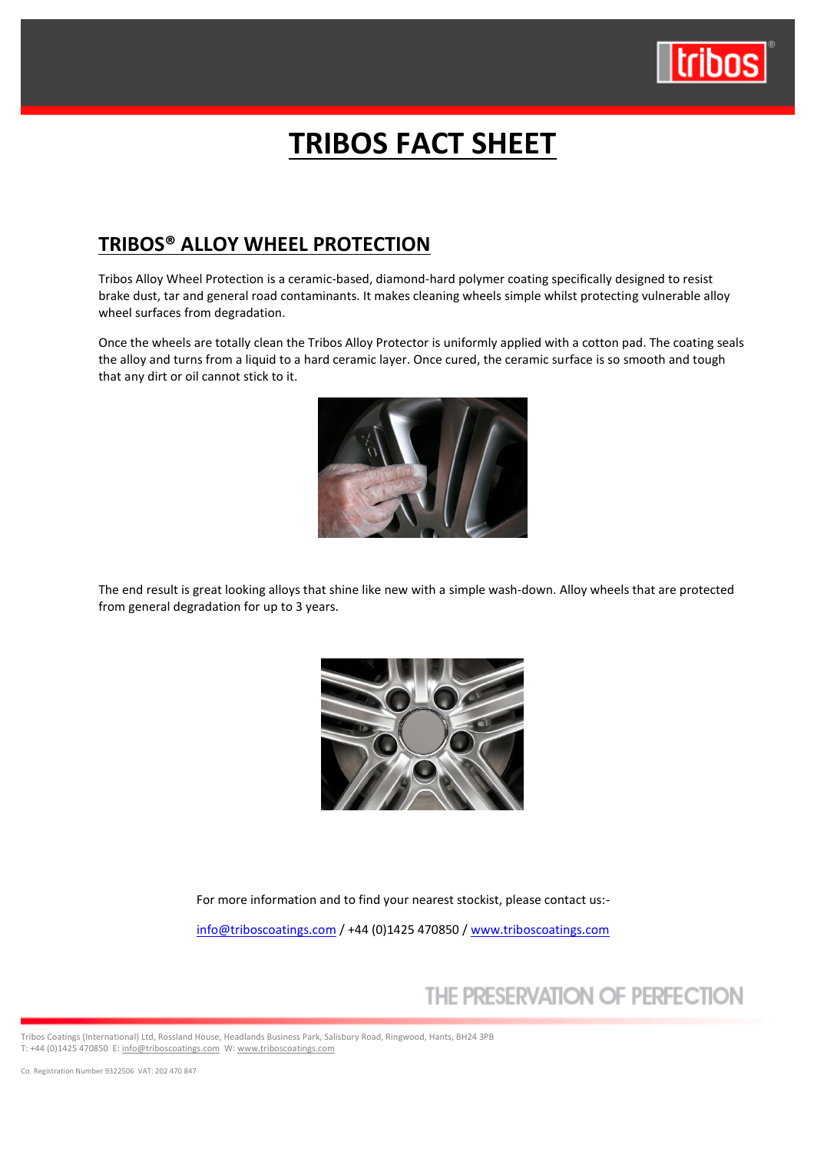

# **TRIBOS FACT SHEET**

### **TRIBOS® ALLOY WHEEL PROTECTION**

Tribos Alloy Wheel Protection is a ceramic-based, diamond-hard polymer coating specifically designed to resist brake dust, tar and general road contaminants. It makes cleaning wheels simple whilst protecting vulnerable alloy wheel surfaces from degradation.

Once the wheels are totally clean the Tribos Alloy Protector is uniformly applied with a cotton pad. The coating seals the alloy and turns from a liquid to a hard ceramic layer. Once cured, the ceramic surface is so smooth and tough that any dirt or oil cannot stick to it.



The end result is great looking alloys that shine like new with a simple wash-down. Alloy wheels that are protected from general degradation for up to 3 years.



For more information and to find your nearest stockist, please contact us:-

[info@triboscoatings.com](mailto:info@triboscoatings.com) / +44 (0)1425 470850 / [www.triboscoatings.com](http://www.triboscoatings.com/)

# THE PRESERVATION OF PERFECTION

Tribos Coatings (International) Ltd, Rossland House, Headlands Business Park, Salisbury Road, Ringwood, Hants, BH24 3PB T: +44 (0)1425 470850 E[: info@triboscoatings.com](mailto:info@triboscoatings.com) W[: www.triboscoatings.com](http://www.triboscoatings.com/)